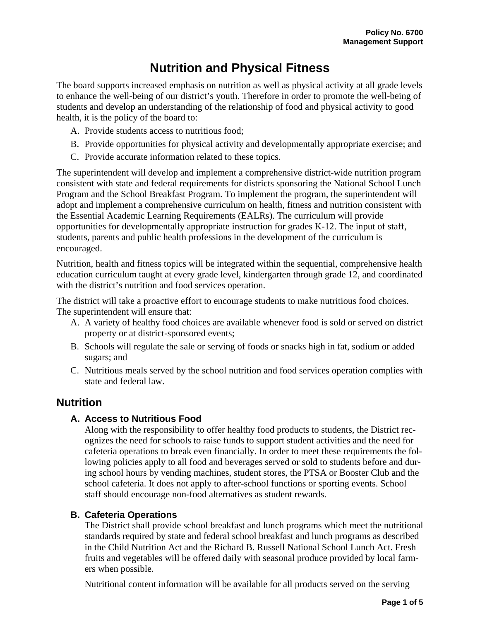# **Nutrition and Physical Fitness**

The board supports increased emphasis on nutrition as well as physical activity at all grade levels to enhance the well-being of our district's youth. Therefore in order to promote the well-being of students and develop an understanding of the relationship of food and physical activity to good health, it is the policy of the board to:

- A. Provide students access to nutritious food;
- B. Provide opportunities for physical activity and developmentally appropriate exercise; and
- C. Provide accurate information related to these topics.

The superintendent will develop and implement a comprehensive district-wide nutrition program consistent with state and federal requirements for districts sponsoring the National School Lunch Program and the School Breakfast Program. To implement the program, the superintendent will adopt and implement a comprehensive curriculum on health, fitness and nutrition consistent with the Essential Academic Learning Requirements (EALRs). The curriculum will provide opportunities for developmentally appropriate instruction for grades K-12. The input of staff, students, parents and public health professions in the development of the curriculum is encouraged.

Nutrition, health and fitness topics will be integrated within the sequential, comprehensive health education curriculum taught at every grade level, kindergarten through grade 12, and coordinated with the district's nutrition and food services operation.

The district will take a proactive effort to encourage students to make nutritious food choices. The superintendent will ensure that:

- A. A variety of healthy food choices are available whenever food is sold or served on district property or at district-sponsored events;
- B. Schools will regulate the sale or serving of foods or snacks high in fat, sodium or added sugars; and
- C. Nutritious meals served by the school nutrition and food services operation complies with state and federal law.

# **Nutrition**

## **A. Access to Nutritious Food**

Along with the responsibility to offer healthy food products to students, the District recognizes the need for schools to raise funds to support student activities and the need for cafeteria operations to break even financially. In order to meet these requirements the following policies apply to all food and beverages served or sold to students before and during school hours by vending machines, student stores, the PTSA or Booster Club and the school cafeteria. It does not apply to after-school functions or sporting events. School staff should encourage non-food alternatives as student rewards.

## **B. Cafeteria Operations**

The District shall provide school breakfast and lunch programs which meet the nutritional standards required by state and federal school breakfast and lunch programs as described in the Child Nutrition Act and the Richard B. Russell National School Lunch Act. Fresh fruits and vegetables will be offered daily with seasonal produce provided by local farmers when possible.

Nutritional content information will be available for all products served on the serving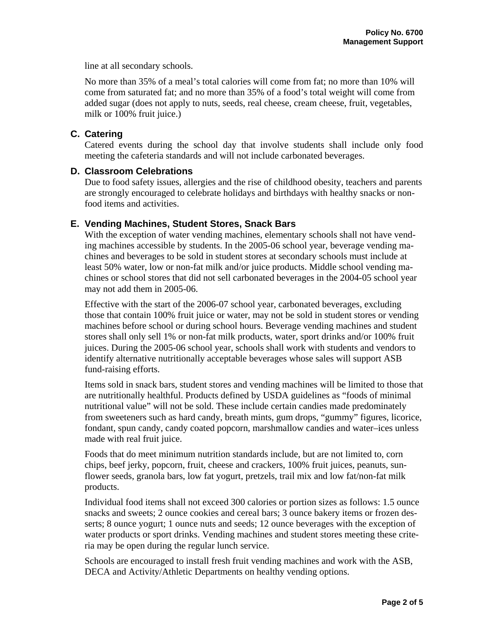line at all secondary schools.

No more than 35% of a meal's total calories will come from fat; no more than 10% will come from saturated fat; and no more than 35% of a food's total weight will come from added sugar (does not apply to nuts, seeds, real cheese, cream cheese, fruit, vegetables, milk or 100% fruit juice.)

### **C. Catering**

Catered events during the school day that involve students shall include only food meeting the cafeteria standards and will not include carbonated beverages.

#### **D. Classroom Celebrations**

Due to food safety issues, allergies and the rise of childhood obesity, teachers and parents are strongly encouraged to celebrate holidays and birthdays with healthy snacks or nonfood items and activities.

#### **E. Vending Machines, Student Stores, Snack Bars**

With the exception of water vending machines, elementary schools shall not have vending machines accessible by students. In the 2005-06 school year, beverage vending machines and beverages to be sold in student stores at secondary schools must include at least 50% water, low or non-fat milk and/or juice products. Middle school vending machines or school stores that did not sell carbonated beverages in the 2004-05 school year may not add them in 2005-06.

Effective with the start of the 2006-07 school year, carbonated beverages, excluding those that contain 100% fruit juice or water, may not be sold in student stores or vending machines before school or during school hours. Beverage vending machines and student stores shall only sell 1% or non-fat milk products, water, sport drinks and/or 100% fruit juices. During the 2005-06 school year, schools shall work with students and vendors to identify alternative nutritionally acceptable beverages whose sales will support ASB fund-raising efforts.

Items sold in snack bars, student stores and vending machines will be limited to those that are nutritionally healthful. Products defined by USDA guidelines as "foods of minimal nutritional value" will not be sold. These include certain candies made predominately from sweeteners such as hard candy, breath mints, gum drops, "gummy" figures, licorice, fondant, spun candy, candy coated popcorn, marshmallow candies and water–ices unless made with real fruit juice.

Foods that do meet minimum nutrition standards include, but are not limited to, corn chips, beef jerky, popcorn, fruit, cheese and crackers, 100% fruit juices, peanuts, sunflower seeds, granola bars, low fat yogurt, pretzels, trail mix and low fat/non-fat milk products.

Individual food items shall not exceed 300 calories or portion sizes as follows: 1.5 ounce snacks and sweets; 2 ounce cookies and cereal bars; 3 ounce bakery items or frozen desserts; 8 ounce yogurt; 1 ounce nuts and seeds; 12 ounce beverages with the exception of water products or sport drinks. Vending machines and student stores meeting these criteria may be open during the regular lunch service.

Schools are encouraged to install fresh fruit vending machines and work with the ASB, DECA and Activity/Athletic Departments on healthy vending options.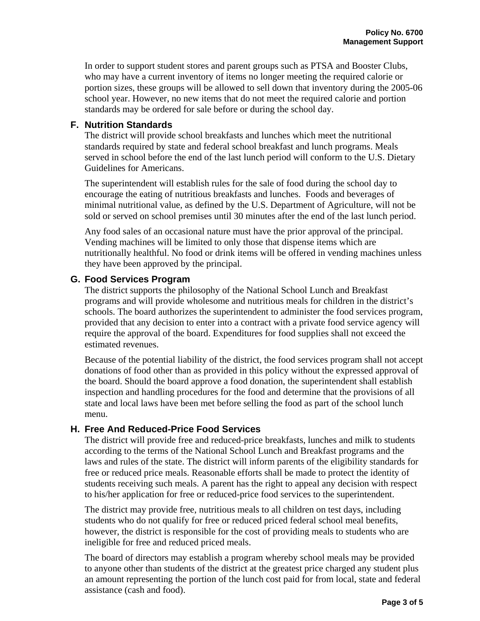In order to support student stores and parent groups such as PTSA and Booster Clubs, who may have a current inventory of items no longer meeting the required calorie or portion sizes, these groups will be allowed to sell down that inventory during the 2005-06 school year. However, no new items that do not meet the required calorie and portion standards may be ordered for sale before or during the school day.

#### **F. Nutrition Standards**

The district will provide school breakfasts and lunches which meet the nutritional standards required by state and federal school breakfast and lunch programs. Meals served in school before the end of the last lunch period will conform to the U.S. Dietary Guidelines for Americans.

The superintendent will establish rules for the sale of food during the school day to encourage the eating of nutritious breakfasts and lunches. Foods and beverages of minimal nutritional value, as defined by the U.S. Department of Agriculture, will not be sold or served on school premises until 30 minutes after the end of the last lunch period.

Any food sales of an occasional nature must have the prior approval of the principal. Vending machines will be limited to only those that dispense items which are nutritionally healthful. No food or drink items will be offered in vending machines unless they have been approved by the principal.

#### **G. Food Services Program**

The district supports the philosophy of the National School Lunch and Breakfast programs and will provide wholesome and nutritious meals for children in the district's schools. The board authorizes the superintendent to administer the food services program, provided that any decision to enter into a contract with a private food service agency will require the approval of the board. Expenditures for food supplies shall not exceed the estimated revenues.

Because of the potential liability of the district, the food services program shall not accept donations of food other than as provided in this policy without the expressed approval of the board. Should the board approve a food donation, the superintendent shall establish inspection and handling procedures for the food and determine that the provisions of all state and local laws have been met before selling the food as part of the school lunch menu.

#### **H. Free And Reduced-Price Food Services**

The district will provide free and reduced-price breakfasts, lunches and milk to students according to the terms of the National School Lunch and Breakfast programs and the laws and rules of the state. The district will inform parents of the eligibility standards for free or reduced price meals. Reasonable efforts shall be made to protect the identity of students receiving such meals. A parent has the right to appeal any decision with respect to his/her application for free or reduced-price food services to the superintendent.

The district may provide free, nutritious meals to all children on test days, including students who do not qualify for free or reduced priced federal school meal benefits, however, the district is responsible for the cost of providing meals to students who are ineligible for free and reduced priced meals.

The board of directors may establish a program whereby school meals may be provided to anyone other than students of the district at the greatest price charged any student plus an amount representing the portion of the lunch cost paid for from local, state and federal assistance (cash and food).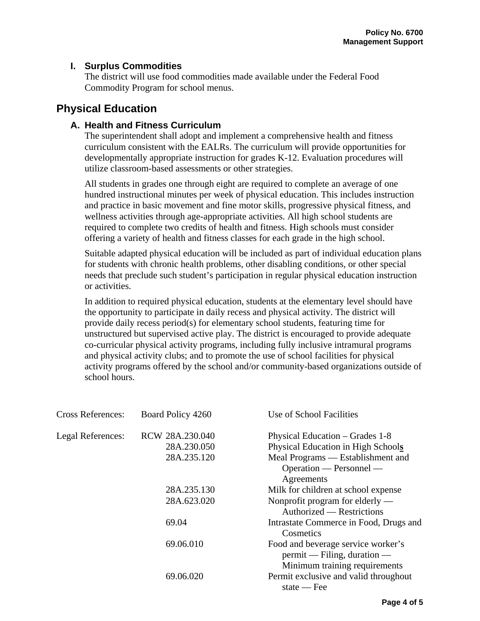#### **I. Surplus Commodities**

The district will use food commodities made available under the Federal Food Commodity Program for school menus.

# **Physical Education**

#### **A. Health and Fitness Curriculum**

The superintendent shall adopt and implement a comprehensive health and fitness curriculum consistent with the EALRs. The curriculum will provide opportunities for developmentally appropriate instruction for grades K-12. Evaluation procedures will utilize classroom-based assessments or other strategies.

All students in grades one through eight are required to complete an average of one hundred instructional minutes per week of physical education. This includes instruction and practice in basic movement and fine motor skills, progressive physical fitness, and wellness activities through age-appropriate activities. All high school students are required to complete two credits of health and fitness. High schools must consider offering a variety of health and fitness classes for each grade in the high school.

Suitable adapted physical education will be included as part of individual education plans for students with chronic health problems, other disabling conditions, or other special needs that preclude such student's participation in regular physical education instruction or activities.

In addition to required physical education, students at the elementary level should have the opportunity to participate in daily recess and physical activity. The district will provide daily recess period(s) for elementary school students, featuring time for unstructured but supervised active play. The district is encouraged to provide adequate co-curricular physical activity programs, including fully inclusive intramural programs and physical activity clubs; and to promote the use of school facilities for physical activity programs offered by the school and/or community-based organizations outside of school hours.

| <b>Cross References:</b> | Board Policy 4260 | Use of School Facilities               |
|--------------------------|-------------------|----------------------------------------|
| Legal References:        | RCW 28A.230.040   | Physical Education – Grades 1-8        |
|                          | 28A.230.050       | Physical Education in High Schools     |
|                          | 28A.235.120       | Meal Programs — Establishment and      |
|                          |                   | Operation — Personnel —                |
|                          |                   | Agreements                             |
|                          | 28A.235.130       | Milk for children at school expense    |
|                          | 28A.623.020       | Nonprofit program for elderly $-$      |
|                          |                   | Authorized — Restrictions              |
|                          | 69.04             | Intrastate Commerce in Food, Drugs and |
|                          |                   | Cosmetics                              |
|                          | 69.06.010         | Food and beverage service worker's     |
|                          |                   | $permit$ - Filing, duration -          |
|                          |                   | Minimum training requirements          |
|                          | 69.06.020         | Permit exclusive and valid throughout  |
|                          |                   | state $-$ Fee                          |